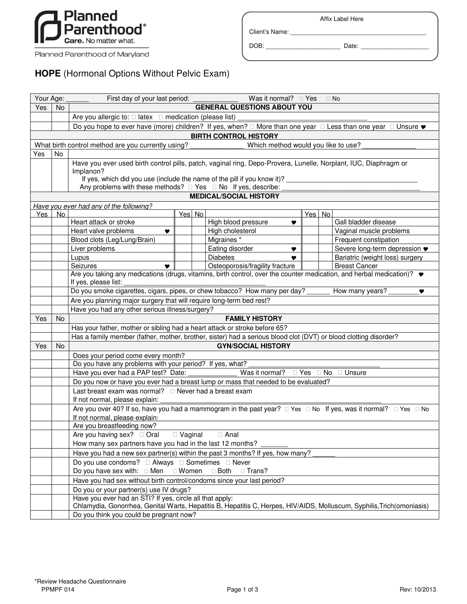

Planned Parenthood of Maryland

Client's Name: \_\_\_\_\_\_\_\_\_\_\_\_\_\_\_\_\_\_\_\_\_\_\_\_\_\_\_\_\_\_\_\_\_\_\_\_\_\_\_\_

DOB: \_\_\_\_\_\_\_\_\_\_\_\_\_\_\_\_\_\_\_\_\_\_ Date: \_\_\_\_\_\_\_\_\_\_\_\_\_\_\_\_\_\_\_\_

## **HOPE** (Hormonal Options Without Pelvic Exam)

| Your Age:                     |                                                                                           | First day of your last period: _                                                                                                    | Was it normal? $\Box$ Yes       |        | $\Box$ No                                        |  |  |  |  |  |  |  |
|-------------------------------|-------------------------------------------------------------------------------------------|-------------------------------------------------------------------------------------------------------------------------------------|---------------------------------|--------|--------------------------------------------------|--|--|--|--|--|--|--|
| Yes                           | <b>No</b>                                                                                 | <b>GENERAL QUESTIONS ABOUT YOU</b>                                                                                                  |                                 |        |                                                  |  |  |  |  |  |  |  |
|                               |                                                                                           | Are you allergic to: $\square$ latex $\square$ medication (please list)                                                             |                                 |        |                                                  |  |  |  |  |  |  |  |
|                               |                                                                                           | Do you hope to ever have (more) children? If yes, when? $\Box$ More than one year $\Box$ Less than one year $\Box$ Unsure $\bullet$ |                                 |        |                                                  |  |  |  |  |  |  |  |
| <b>BIRTH CONTROL HISTORY</b>  |                                                                                           |                                                                                                                                     |                                 |        |                                                  |  |  |  |  |  |  |  |
|                               | What birth control method are you currently using?<br>Which method would you like to use? |                                                                                                                                     |                                 |        |                                                  |  |  |  |  |  |  |  |
| Yes                           | <b>No</b>                                                                                 |                                                                                                                                     |                                 |        |                                                  |  |  |  |  |  |  |  |
|                               |                                                                                           | Have you ever used birth control pills, patch, vaginal ring, Depo-Provera, Lunelle, Norplant, IUC, Diaphragm or                     |                                 |        |                                                  |  |  |  |  |  |  |  |
|                               |                                                                                           | Implanon?                                                                                                                           |                                 |        |                                                  |  |  |  |  |  |  |  |
|                               |                                                                                           | If yes, which did you use (include the name of the pill if you know it)?                                                            |                                 |        |                                                  |  |  |  |  |  |  |  |
|                               |                                                                                           | Any problems with these methods? $\Box$ Yes $\Box$ No If yes, describe:                                                             |                                 |        |                                                  |  |  |  |  |  |  |  |
| <b>MEDICAL/SOCIAL HISTORY</b> |                                                                                           |                                                                                                                                     |                                 |        |                                                  |  |  |  |  |  |  |  |
|                               |                                                                                           | Have you ever had any of the following?                                                                                             |                                 |        |                                                  |  |  |  |  |  |  |  |
| Yes                           | <b>No</b>                                                                                 | Yes No                                                                                                                              |                                 | Yes No |                                                  |  |  |  |  |  |  |  |
|                               |                                                                                           | Heart attack or stroke                                                                                                              | High blood pressure<br>v        |        | Gall bladder disease                             |  |  |  |  |  |  |  |
|                               |                                                                                           | Heart valve problems<br>♥<br>Blood clots (Leg/Lung/Brain)                                                                           | High cholesterol<br>Migraines * |        | Vaginal muscle problems<br>Frequent constipation |  |  |  |  |  |  |  |
|                               |                                                                                           | Liver problems                                                                                                                      | Eating disorder                 |        | Severe long-term depression •                    |  |  |  |  |  |  |  |
|                               |                                                                                           | Lupus                                                                                                                               | Y<br><b>Diabetes</b>            |        | Bariatric (weight loss) surgery                  |  |  |  |  |  |  |  |
|                               |                                                                                           | Seizures                                                                                                                            | Osteoporosis/fragility fracture |        | <b>Breast Cancer</b>                             |  |  |  |  |  |  |  |
|                               |                                                                                           | Are you taking any medications (drugs, vitamins, birth control, over the counter medication, and herbal medication)? ♥              |                                 |        |                                                  |  |  |  |  |  |  |  |
|                               |                                                                                           | If yes, please list:                                                                                                                |                                 |        |                                                  |  |  |  |  |  |  |  |
|                               |                                                                                           | Do you smoke cigarettes, cigars, pipes, or chew tobacco? How many per day?                                                          |                                 |        | How many years?<br>♥                             |  |  |  |  |  |  |  |
|                               |                                                                                           | Are you planning major surgery that will require long-term bed rest?                                                                |                                 |        |                                                  |  |  |  |  |  |  |  |
|                               |                                                                                           | Have you had any other serious illness/surgery?                                                                                     |                                 |        |                                                  |  |  |  |  |  |  |  |
| Yes                           | No.                                                                                       | <b>FAMILY HISTORY</b>                                                                                                               |                                 |        |                                                  |  |  |  |  |  |  |  |
|                               |                                                                                           | Has your father, mother or sibling had a heart attack or stroke before 65?                                                          |                                 |        |                                                  |  |  |  |  |  |  |  |
|                               |                                                                                           | Has a family member (father, mother, brother, sister) had a serious blood clot (DVT) or blood clotting disorder?                    |                                 |        |                                                  |  |  |  |  |  |  |  |
| Yes                           | <b>No</b>                                                                                 | <b>GYN/SOCIAL HISTORY</b>                                                                                                           |                                 |        |                                                  |  |  |  |  |  |  |  |
|                               |                                                                                           | Does your period come every month?                                                                                                  |                                 |        |                                                  |  |  |  |  |  |  |  |
|                               |                                                                                           | Do you have any problems with your period? If yes, what?                                                                            |                                 |        |                                                  |  |  |  |  |  |  |  |
|                               |                                                                                           | Have you ever had a PAP test? Date:                                                                                                 | Was it normal?                  |        | □ Yes □ No □ Unsure                              |  |  |  |  |  |  |  |
|                               |                                                                                           | Do you now or have you ever had a breast lump or mass that needed to be evaluated?                                                  |                                 |        |                                                  |  |  |  |  |  |  |  |
|                               |                                                                                           | Last breast exam was normal? $\Box$ Never had a breast exam                                                                         |                                 |        |                                                  |  |  |  |  |  |  |  |
|                               |                                                                                           | If not normal, please explain:                                                                                                      |                                 |        |                                                  |  |  |  |  |  |  |  |
|                               |                                                                                           | Are you over 40? If so, have you had a mammogram in the past year? $\Box$ Yes $\Box$ No If yes, was it normal? $\Box$ Yes $\Box$ No |                                 |        |                                                  |  |  |  |  |  |  |  |
|                               |                                                                                           | If not normal, please explain:<br>Are you breastfeeding now?                                                                        |                                 |        |                                                  |  |  |  |  |  |  |  |
|                               |                                                                                           |                                                                                                                                     |                                 |        |                                                  |  |  |  |  |  |  |  |
|                               |                                                                                           | How many sex partners have you had in the last 12 months?                                                                           |                                 |        |                                                  |  |  |  |  |  |  |  |
|                               |                                                                                           | Have you had a new sex partner(s) within the past 3 months? If yes, how many?                                                       |                                 |        |                                                  |  |  |  |  |  |  |  |
|                               |                                                                                           |                                                                                                                                     |                                 |        |                                                  |  |  |  |  |  |  |  |
|                               |                                                                                           | Do you have sex with: $\Box$ Men $\Box$ Women<br>$\Box$ Both<br>□ Trans?                                                            |                                 |        |                                                  |  |  |  |  |  |  |  |
|                               |                                                                                           | Have you had sex without birth control/condoms since your last period?                                                              |                                 |        |                                                  |  |  |  |  |  |  |  |
|                               |                                                                                           | Do you or your partner(s) use IV drugs?                                                                                             |                                 |        |                                                  |  |  |  |  |  |  |  |
|                               |                                                                                           | Have you ever had an STI? If yes, circle all that apply:                                                                            |                                 |        |                                                  |  |  |  |  |  |  |  |
|                               |                                                                                           | Chlamydia, Gonorrhea, Genital Warts, Hepatitis B, Hepatitis C, Herpes, HIV/AIDS, Molluscum, Syphilis, Trich(omoniasis)              |                                 |        |                                                  |  |  |  |  |  |  |  |
|                               |                                                                                           | Do you think you could be pregnant now?                                                                                             |                                 |        |                                                  |  |  |  |  |  |  |  |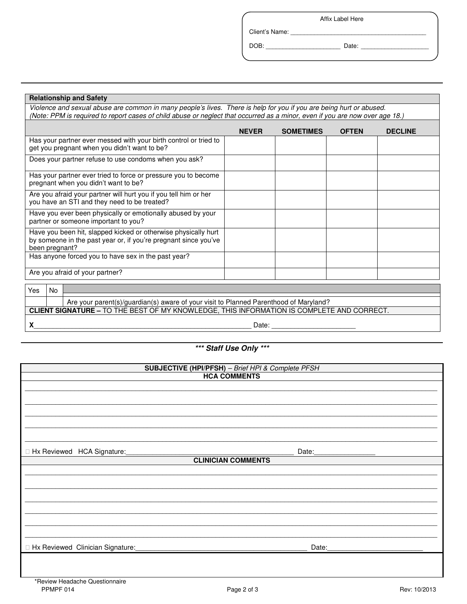Affix Label Here

DOB: \_\_\_\_\_\_\_\_\_\_\_\_\_\_\_\_\_\_\_\_\_\_ Date: \_\_\_\_\_\_\_\_\_\_\_\_\_\_\_\_\_\_\_\_

Client's Name: \_\_\_\_\_\_\_\_\_\_\_\_\_\_\_\_\_\_\_\_\_\_\_\_\_\_\_\_\_\_\_\_\_\_\_\_\_\_\_\_

| <b>Relationship and Safety</b>                                                                                                                                                                                                                      |              |                  |              |                |  |  |  |  |
|-----------------------------------------------------------------------------------------------------------------------------------------------------------------------------------------------------------------------------------------------------|--------------|------------------|--------------|----------------|--|--|--|--|
| Violence and sexual abuse are common in many people's lives. There is help for you if you are being hurt or abused.<br>(Note: PPM is required to report cases of child abuse or neglect that occurred as a minor, even if you are now over age 18.) |              |                  |              |                |  |  |  |  |
|                                                                                                                                                                                                                                                     | <b>NEVER</b> | <b>SOMETIMES</b> | <b>OFTEN</b> | <b>DECLINE</b> |  |  |  |  |
| Has your partner ever messed with your birth control or tried to<br>get you pregnant when you didn't want to be?                                                                                                                                    |              |                  |              |                |  |  |  |  |
| Does your partner refuse to use condoms when you ask?                                                                                                                                                                                               |              |                  |              |                |  |  |  |  |
| Has your partner ever tried to force or pressure you to become<br>pregnant when you didn't want to be?                                                                                                                                              |              |                  |              |                |  |  |  |  |
| Are you afraid your partner will hurt you if you tell him or her<br>you have an STI and they need to be treated?                                                                                                                                    |              |                  |              |                |  |  |  |  |
| Have you ever been physically or emotionally abused by your<br>partner or someone important to you?                                                                                                                                                 |              |                  |              |                |  |  |  |  |
| Have you been hit, slapped kicked or otherwise physically hurt<br>by someone in the past year or, if you're pregnant since you've<br>been pregnant?                                                                                                 |              |                  |              |                |  |  |  |  |
| Has anyone forced you to have sex in the past year?                                                                                                                                                                                                 |              |                  |              |                |  |  |  |  |
| Are you afraid of your partner?                                                                                                                                                                                                                     |              |                  |              |                |  |  |  |  |
| No<br>Yes                                                                                                                                                                                                                                           |              |                  |              |                |  |  |  |  |
| Are your parent(s)/guardian(s) aware of your visit to Planned Parenthood of Maryland?<br>CLIENT SIGNATURE - TO THE BEST OF MY KNOWLEDGE, THIS INFORMATION IS COMPLETE AND CORRECT.                                                                  |              |                  |              |                |  |  |  |  |
|                                                                                                                                                                                                                                                     |              |                  |              |                |  |  |  |  |
|                                                                                                                                                                                                                                                     |              |                  |              |                |  |  |  |  |
| *** Staff Use Only ***                                                                                                                                                                                                                              |              |                  |              |                |  |  |  |  |
| SUBJECTIVE (HPI/PFSH) - Brief HPI & Complete PFSH                                                                                                                                                                                                   |              |                  |              |                |  |  |  |  |
| <b>HCA COMMENTS</b>                                                                                                                                                                                                                                 |              |                  |              |                |  |  |  |  |
|                                                                                                                                                                                                                                                     |              |                  |              |                |  |  |  |  |

Hx Reviewed HCA Signature:\_\_\_\_\_\_\_\_\_\_\_\_\_\_\_\_\_\_\_\_\_\_\_\_\_\_\_\_\_\_\_\_\_\_\_\_\_\_\_\_\_\_\_\_ Date:\_\_\_\_\_\_\_\_\_\_\_\_\_\_\_\_

**CLINICIAN COMMENTS** \_\_\_\_\_\_\_\_\_\_\_\_\_\_\_\_\_\_\_\_\_\_\_\_\_\_\_\_\_\_\_\_\_\_\_\_\_\_\_\_\_\_\_\_\_\_\_\_\_\_\_\_\_\_\_\_\_\_\_\_\_\_\_\_\_\_\_\_\_\_\_\_\_\_\_\_\_\_\_\_\_\_\_\_\_\_\_\_\_\_\_\_\_\_\_\_\_\_\_\_\_\_\_\_\_\_\_\_

\_\_\_\_\_\_\_\_\_\_\_\_\_\_\_\_\_\_\_\_\_\_\_\_\_\_\_\_\_\_\_\_\_\_\_\_\_\_\_\_\_\_\_\_\_\_\_\_\_\_\_\_\_\_\_\_\_\_\_\_\_\_\_\_\_\_\_\_\_\_\_\_\_\_\_\_\_\_\_\_\_\_\_\_\_\_\_\_\_\_\_\_\_\_\_\_\_\_\_\_\_\_\_\_\_\_\_\_ \_\_\_\_\_\_\_\_\_\_\_\_\_\_\_\_\_\_\_\_\_\_\_\_\_\_\_\_\_\_\_\_\_\_\_\_\_\_\_\_\_\_\_\_\_\_\_\_\_\_\_\_\_\_\_\_\_\_\_\_\_\_\_\_\_\_\_\_\_\_\_\_\_\_\_\_\_\_\_\_\_\_\_\_\_\_\_\_\_\_\_\_\_\_\_\_\_\_\_\_\_\_\_\_\_\_\_\_ \_\_\_\_\_\_\_\_\_\_\_\_\_\_\_\_\_\_\_\_\_\_\_\_\_\_\_\_\_\_\_\_\_\_\_\_\_\_\_\_\_\_\_\_\_\_\_\_\_\_\_\_\_\_\_\_\_\_\_\_\_\_\_\_\_\_\_\_\_\_\_\_\_\_\_\_\_\_\_\_\_\_\_\_\_\_\_\_\_\_\_\_\_\_\_\_\_\_\_\_\_\_\_\_\_\_\_\_ \_\_\_\_\_\_\_\_\_\_\_\_\_\_\_\_\_\_\_\_\_\_\_\_\_\_\_\_\_\_\_\_\_\_\_\_\_\_\_\_\_\_\_\_\_\_\_\_\_\_\_\_\_\_\_\_\_\_\_\_\_\_\_\_\_\_\_\_\_\_\_\_\_\_\_\_\_\_\_\_\_\_\_\_\_\_\_\_\_\_\_\_\_\_\_\_\_\_\_\_\_\_\_\_\_\_\_\_ \_\_\_\_\_\_\_\_\_\_\_\_\_\_\_\_\_\_\_\_\_\_\_\_\_\_\_\_\_\_\_\_\_\_\_\_\_\_\_\_\_\_\_\_\_\_\_\_\_\_\_\_\_\_\_\_\_\_\_\_\_\_\_\_\_\_\_\_\_\_\_\_\_\_\_\_\_\_\_\_\_\_\_\_\_\_\_\_\_\_\_\_\_\_\_\_\_\_\_\_\_\_\_\_\_\_\_\_

\_\_\_\_\_\_\_\_\_\_\_\_\_\_\_\_\_\_\_\_\_\_\_\_\_\_\_\_\_\_\_\_\_\_\_\_\_\_\_\_\_\_\_\_\_\_\_\_\_\_\_\_\_\_\_\_\_\_\_\_\_\_\_\_\_\_\_\_\_\_\_\_\_\_\_\_\_\_\_\_\_\_\_\_\_\_\_\_\_\_\_\_\_\_\_\_\_\_\_\_\_\_\_\_\_\_\_\_ \_\_\_\_\_\_\_\_\_\_\_\_\_\_\_\_\_\_\_\_\_\_\_\_\_\_\_\_\_\_\_\_\_\_\_\_\_\_\_\_\_\_\_\_\_\_\_\_\_\_\_\_\_\_\_\_\_\_\_\_\_\_\_\_\_\_\_\_\_\_\_\_\_\_\_\_\_\_\_\_\_\_\_\_\_\_\_\_\_\_\_\_\_\_\_\_\_\_\_\_\_\_\_\_\_\_\_\_ \_\_\_\_\_\_\_\_\_\_\_\_\_\_\_\_\_\_\_\_\_\_\_\_\_\_\_\_\_\_\_\_\_\_\_\_\_\_\_\_\_\_\_\_\_\_\_\_\_\_\_\_\_\_\_\_\_\_\_\_\_\_\_\_\_\_\_\_\_\_\_\_\_\_\_\_\_\_\_\_\_\_\_\_\_\_\_\_\_\_\_\_\_\_\_\_\_\_\_\_\_\_\_\_\_\_\_\_ \_\_\_\_\_\_\_\_\_\_\_\_\_\_\_\_\_\_\_\_\_\_\_\_\_\_\_\_\_\_\_\_\_\_\_\_\_\_\_\_\_\_\_\_\_\_\_\_\_\_\_\_\_\_\_\_\_\_\_\_\_\_\_\_\_\_\_\_\_\_\_\_\_\_\_\_\_\_\_\_\_\_\_\_\_\_\_\_\_\_\_\_\_\_\_\_\_\_\_\_\_\_\_\_\_\_\_\_

Hx Reviewed Clinician Signature:\_\_\_\_\_\_\_\_\_\_\_\_\_\_\_\_\_\_\_\_\_\_\_\_\_\_\_\_\_\_\_\_\_\_\_\_\_\_\_\_\_\_\_\_\_ Date:\_\_\_\_\_\_\_\_\_\_\_\_\_\_\_\_\_\_\_\_\_\_\_\_\_